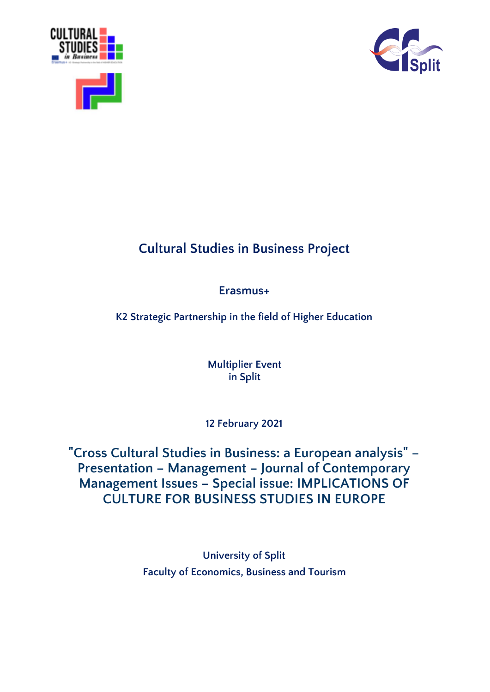



# **Cultural Studies in Business Project**

## **Erasmus+**

**K2 Strategic Partnership in the field of Higher Education**

**Multiplier Event in Split**

**12 February 2021**

**"Cross Cultural Studies in Business: a European analysis" – Presentation – Management – Journal of Contemporary Management Issues – Special issue: IMPLICATIONS OF CULTURE FOR BUSINESS STUDIES IN EUROPE**

> **University of Split Faculty of Economics, Business and Tourism**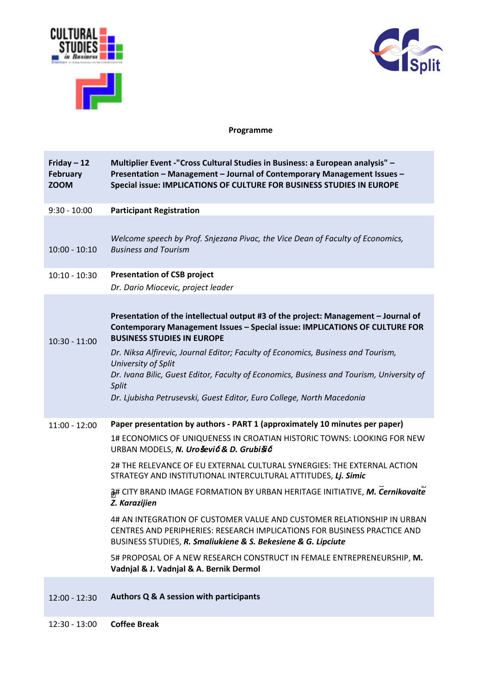



## **Programme**

| Friday $-12$<br><b>February</b><br><b>ZOOM</b> | Multiplier Event -"Cross Cultural Studies in Business: a European analysis" -<br>Presentation - Management - Journal of Contemporary Management Issues -<br>Special issue: IMPLICATIONS OF CULTURE FOR BUSINESS STUDIES IN EUROPE                                                                                                                                                                                                                                                                                                                                                                                                                                                                                                                                                        |
|------------------------------------------------|------------------------------------------------------------------------------------------------------------------------------------------------------------------------------------------------------------------------------------------------------------------------------------------------------------------------------------------------------------------------------------------------------------------------------------------------------------------------------------------------------------------------------------------------------------------------------------------------------------------------------------------------------------------------------------------------------------------------------------------------------------------------------------------|
| $9:30 - 10:00$                                 | <b>Participant Registration</b>                                                                                                                                                                                                                                                                                                                                                                                                                                                                                                                                                                                                                                                                                                                                                          |
| $10:00 - 10:10$<br>$10:10 - 10:30$             | Welcome speech by Prof. Snjezana Pivac, the Vice Dean of Faculty of Economics,<br><b>Business and Tourism</b><br><b>Presentation of CSB project</b>                                                                                                                                                                                                                                                                                                                                                                                                                                                                                                                                                                                                                                      |
|                                                | Dr. Dario Miocevic, project leader                                                                                                                                                                                                                                                                                                                                                                                                                                                                                                                                                                                                                                                                                                                                                       |
| $10:30 - 11:00$                                | Presentation of the intellectual output #3 of the project: Management - Journal of<br><b>Contemporary Management Issues - Special issue: IMPLICATIONS OF CULTURE FOR</b><br><b>BUSINESS STUDIES IN EUROPE</b><br>Dr. Niksa Alfirevic, Journal Editor; Faculty of Economics, Business and Tourism,<br>University of Split<br>Dr. Ivana Bilic, Guest Editor, Faculty of Economics, Business and Tourism, University of<br>Split<br>Dr. Ljubisha Petrusevski, Guest Editor, Euro College, North Macedonia                                                                                                                                                                                                                                                                                   |
| $11:00 - 12:00$                                | Paper presentation by authors - PART 1 (approximately 10 minutes per paper)<br>1# ECONOMICS OF UNIQUENESS IN CROATIAN HISTORIC TOWNS: LOOKING FOR NEW<br>URBAN MODELS, N. Urošević & D. Grubišić<br>2# THE RELEVANCE OF EU EXTERNAL CULTURAL SYNERGIES: THE EXTERNAL ACTION<br>STRATEGY AND INSTITUTIONAL INTERCULTURAL ATTITUDES, Lj. Simic<br>at CITY BRAND IMAGE FORMATION BY URBAN HERITAGE INITIATIVE, M. Cernikovaite<br>Z. Karazijien<br>4# AN INTEGRATION OF CUSTOMER VALUE AND CUSTOMER RELATIONSHIP IN URBAN<br>CENTRES AND PERIPHERIES: RESEARCH IMPLICATIONS FOR BUSINESS PRACTICE AND<br>BUSINESS STUDIES, R. Smaliukiene & S. Bekesiene & G. Lipciute<br>5# PROPOSAL OF A NEW RESEARCH CONSTRUCT IN FEMALE ENTREPRENEURSHIP, M.<br>Vadnjal & J. Vadnjal & A. Bernik Dermol |
| $12:00 - 12:30$                                | Authors Q & A session with participants                                                                                                                                                                                                                                                                                                                                                                                                                                                                                                                                                                                                                                                                                                                                                  |

12:30 - 13:00 **Coffee Break**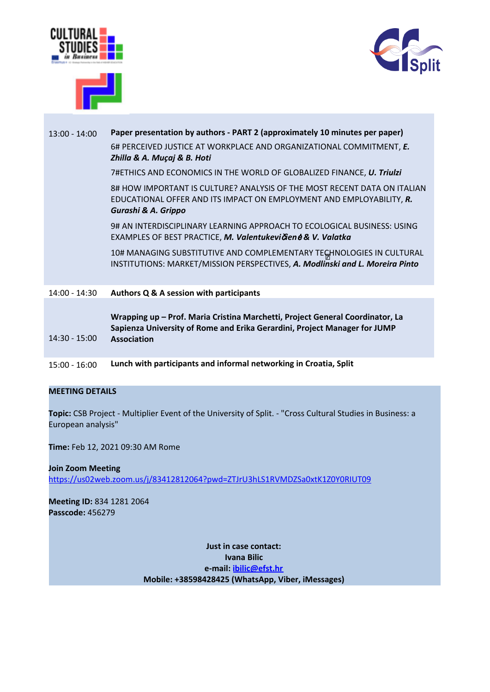





## 13:00 - 14:00 **Paper presentation by authors - PART 2 (approximately 10 minutes per paper)** 6# PERCEIVED JUSTICE AT WORKPLACE AND ORGANIZATIONAL COMMITMENT, *E. Zhilla & A. Muçaj & B. Hoti*

7#ETHICS AND ECONOMICS IN THE WORLD OF GLOBALIZED FINANCE, *U. Triulzi*

8# HOW IMPORTANT IS CULTURE? ANALYSIS OF THE MOST RECENT DATA ON ITALIAN EDUCATIONAL OFFER AND ITS IMPACT ON EMPLOYMENT AND EMPLOYABILITY, *R. Gurashi & A. Grippo*

9# AN INTERDISCIPLINARY LEARNING APPROACH TO ECOLOGICAL BUSINESS: USING EXAMPLES OF BEST PRACTICE, *M. Valentukevi*č*ien*<sup>ė</sup> *& V. Valatka*

10# MANAGING SUBSTITUTIVE AND COMPLEMENTARY TEGHNOLOGIES IN CULTURAL INSTITUTIONS: MARKET/MISSION PERSPECTIVES, *A. Modlin* Z *ski and L. Moreira Pinto*

#### 14:00 - 14:30 **Authors Q & A session with participants**

|                 | Wrapping up - Prof. Maria Cristina Marchetti, Project General Coordinator, La |
|-----------------|-------------------------------------------------------------------------------|
|                 | Sapienza University of Rome and Erika Gerardini, Project Manager for JUMP     |
| $14:30 - 15:00$ | <b>Association</b>                                                            |

15:00 - 16:00 **Lunch with participants and informal networking in Croatia, Split**

### **MEETING DETAILS**

**Topic:** CSB Project - Multiplier Event of the University of Split. - "Cross Cultural Studies in Business: a European analysis"

**Time:** Feb 12, 2021 09:30 AM Rome

**Join Zoom Meeting** <https://us02web.zoom.us/j/83412812064?pwd=ZTJrU3hLS1RVMDZSa0xtK1Z0Y0RIUT09>

**Meeting ID:** 834 1281 2064 **Passcode:** 456279

> **Just in case contact: Ivana Bilic e-mail: [ibilic@efst.hr](mailto:ibilic@efst.hr) Mobile: +38598428425 (WhatsApp, Viber, iMessages)**